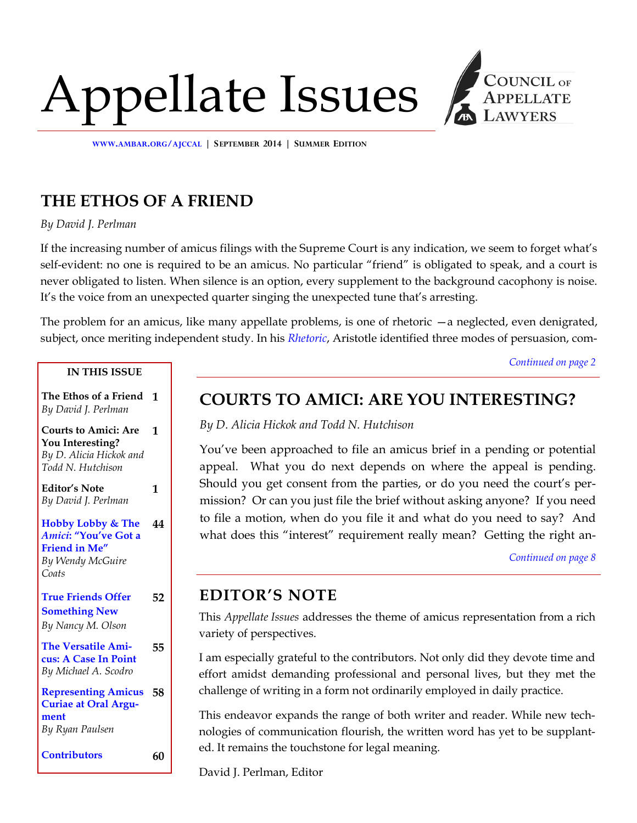# Appellate Issues



**WWW.[AMBAR](http://www.ambar.org/ajccal).ORG/AJCCAL | SEPTEMBER 2014 | SUMMER EDITION**

# **THE ETHOS OF A FRIEND**

*By David J. Perlman* 

If the increasing number of amicus filings with the Supreme Court is any indication, we seem to forget what's self-evident: no one is required to be an amicus. No particular "friend" is obligated to speak, and a court is never obligated to listen. When silence is an option, every supplement to the background cacophony is noise. It's the voice from an unexpected quarter singing the unexpected tune that's arresting.

The problem for an amicus, like many appellate problems, is one of rhetoric —a neglected, even denigrated, subject, once meriting independent study. In his *[Rhetoric](http://rhetoric.eserver.org/aristotle/)*, Aristotle identified three modes of persuasion, com-

*[Continued on page 2](#page-1-0)*

## **IN THIS ISSUE**

**The Ethos of a Friend 1** *By David J. Perlman*

## **Courts to Amici: Are 1 You Interesting?**  *By D. Alicia Hickok and Todd N. Hutchison*

**Editor's Note** *By David J. Perlman*

#### **Hobby Lobby & The**  *Amici***: "You've Got a Friend in Me"** *By Wendy McGuire Coats* **44**

**1**

#### **True Friends Offer Something New** *By Nancy M. Olson*  **52**

#### **The Versatile Amicus: A Case In Point** *By Michael A. Scodro*  **55**

**Representing Amicus Curiae at Oral Argument**  *By Ryan Paulsen*  **58** 

| Contributors | 60 |
|--------------|----|
|              |    |

# **COURTS TO AMICI: ARE YOU INTERESTING?**

*By D. Alicia Hickok and Todd N. Hutchison* 

You've been approached to file an amicus brief in a pending or potential appeal. What you do next depends on where the appeal is pending. Should you get consent from the parties, or do you need the court's permission? Or can you just file the brief without asking anyone? If you need to file a motion, when do you file it and what do you need to say? And what does this "interest" requirement really mean? Getting the right an-

*[Continued on page 8](#page-7-0)*

# **EDITOR'S NOTE**

This *Appellate Issues* addresses the theme of amicus representation from a rich variety of perspectives.

I am especially grateful to the contributors. Not only did they devote time and effort amidst demanding professional and personal lives, but they met the challenge of writing in a form not ordinarily employed in daily practice.

This endeavor expands the range of both writer and reader. While new technologies of communication flourish, the written word has yet to be supplanted. It remains the touchstone for legal meaning.

David J. Perlman, Editor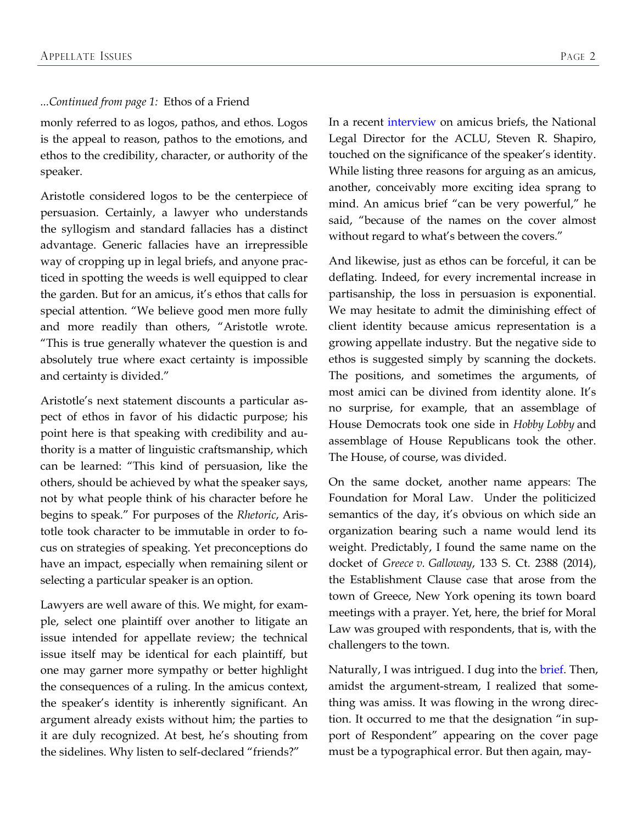## <span id="page-1-0"></span>*...Continued from page 1:* Ethos of a Friend

monly referred to as logos, pathos, and ethos. Logos is the appeal to reason, pathos to the emotions, and ethos to the credibility, character, or authority of the speaker.

Aristotle considered logos to be the centerpiece of persuasion. Certainly, a lawyer who understands the syllogism and standard fallacies has a distinct advantage. Generic fallacies have an irrepressible way of cropping up in legal briefs, and anyone practiced in spotting the weeds is well equipped to clear the garden. But for an amicus, it's ethos that calls for special attention. "We believe good men more fully and more readily than others, "Aristotle wrote. "This is true generally whatever the question is and absolutely true where exact certainty is impossible and certainty is divided."

Aristotle's next statement discounts a particular aspect of ethos in favor of his didactic purpose; his point here is that speaking with credibility and authority is a matter of linguistic craftsmanship, which can be learned: "This kind of persuasion, like the others, should be achieved by what the speaker says, not by what people think of his character before he begins to speak." For purposes of the *Rhetoric*, Aristotle took character to be immutable in order to focus on strategies of speaking. Yet preconceptions do have an impact, especially when remaining silent or selecting a particular speaker is an option.

Lawyers are well aware of this. We might, for example, select one plaintiff over another to litigate an issue intended for appellate review; the technical issue itself may be identical for each plaintiff, but one may garner more sympathy or better highlight the consequences of a ruling. In the amicus context, the speaker's identity is inherently significant. An argument already exists without him; the parties to it are duly recognized. At best, he's shouting from the sidelines. Why listen to self-declared "friends?"

In a recent [interview](http://www.scotusblog.com/media/scotusblog-on-camera-steven-r-shapiro-part-four/) on amicus briefs, the National Legal Director for the ACLU, Steven R. Shapiro, touched on the significance of the speaker's identity. While listing three reasons for arguing as an amicus, another, conceivably more exciting idea sprang to mind. An amicus brief "can be very powerful," he said, "because of the names on the cover almost without regard to what's between the covers."

And likewise, just as ethos can be forceful, it can be deflating. Indeed, for every incremental increase in partisanship, the loss in persuasion is exponential. We may hesitate to admit the diminishing effect of client identity because amicus representation is a growing appellate industry. But the negative side to ethos is suggested simply by scanning the dockets. The positions, and sometimes the arguments, of most amici can be divined from identity alone. It's no surprise, for example, that an assemblage of House Democrats took one side in *Hobby Lobby* and assemblage of House Republicans took the other. The House, of course, was divided.

On the same docket, another name appears: The Foundation for Moral Law. Under the politicized semantics of the day, it's obvious on which side an organization bearing such a name would lend its weight. Predictably, I found the same name on the docket of *Greece v. Galloway*, 133 S. Ct. 2388 (2014), the Establishment Clause case that arose from the town of Greece, New York opening its town board meetings with a prayer. Yet, here, the brief for Moral Law was grouped with respondents, that is, with the challengers to the town.

Naturally, I was intrigued. I dug into the *brief*. Then, amidst the argument-stream, I realized that something was amiss. It was flowing in the wrong direction. It occurred to me that the designation "in support of Respondent" appearing on the cover page must be a typographical error. But then again, may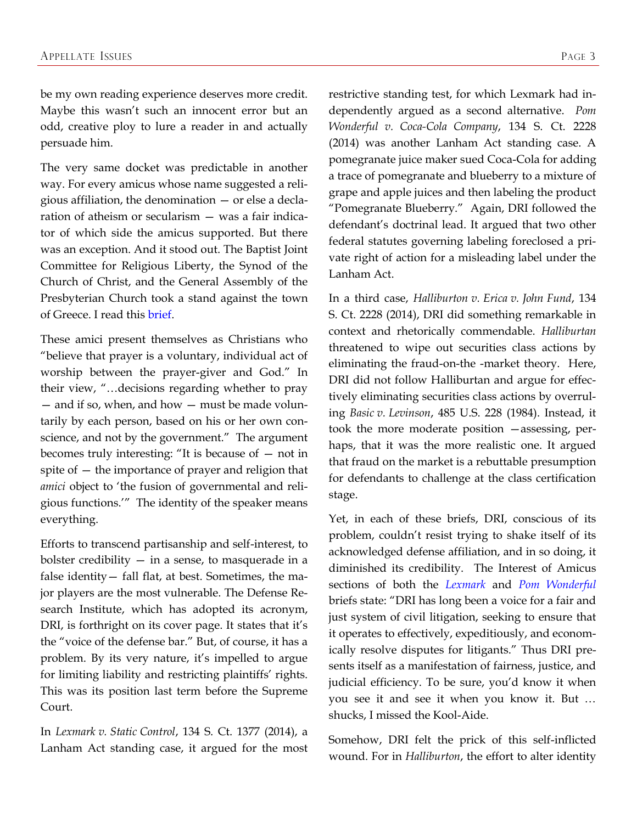be my own reading experience deserves more credit. Maybe this wasn't such an innocent error but an odd, creative ploy to lure a reader in and actually persuade him.

The very same docket was predictable in another way. For every amicus whose name suggested a religious affiliation, the denomination — or else a declaration of atheism or secularism — was a fair indicator of which side the amicus supported. But there was an exception. And it stood out. The Baptist Joint Committee for Religious Liberty, the Synod of the Church of Christ, and the General Assembly of the Presbyterian Church took a stand against the town of Greece. I read this [brief.](http://www.americanbar.org/content/dam/aba/publications/supreme_court_preview/briefs-v2/12-696_pet_amcu_Baptist.authcheckdam.pdf)

These amici present themselves as Christians who "believe that prayer is a voluntary, individual act of worship between the prayer-giver and God." In their view, "…decisions regarding whether to pray — and if so, when, and how — must be made voluntarily by each person, based on his or her own conscience, and not by the government." The argument becomes truly interesting: "It is because of — not in spite of — the importance of prayer and religion that *amici* object to 'the fusion of governmental and religious functions.'" The identity of the speaker means everything.

Efforts to transcend partisanship and self-interest, to bolster credibility  $-$  in a sense, to masquerade in a false identity— fall flat, at best. Sometimes, the major players are the most vulnerable. The Defense Research Institute, which has adopted its acronym, DRI, is forthright on its cover page. It states that it's the "voice of the defense bar." But, of course, it has a problem. By its very nature, it's impelled to argue for limiting liability and restricting plaintiffs' rights. This was its position last term before the Supreme Court.

In *Lexmark v. Static Control*, 134 S. Ct. 1377 (2014), a Lanham Act standing case, it argued for the most restrictive standing test, for which Lexmark had independently argued as a second alternative. *Pom Wonderful v. Coca-Cola Company*, 134 S. Ct. 2228 (2014) was another Lanham Act standing case. A pomegranate juice maker sued Coca-Cola for adding a trace of pomegranate and blueberry to a mixture of grape and apple juices and then labeling the product "Pomegranate Blueberry." Again, DRI followed the defendant's doctrinal lead. It argued that two other federal statutes governing labeling foreclosed a private right of action for a misleading label under the Lanham Act.

In a third case, *Halliburton v. Erica v. John Fund*, 134 S. Ct. 2228 (2014), DRI did something remarkable in context and rhetorically commendable. *Halliburtan* threatened to wipe out securities class actions by eliminating the fraud-on-the -market theory. Here, DRI did not follow Halliburtan and argue for effectively eliminating securities class actions by overruling *Basic v. Levinson*, 485 U.S. 228 (1984). Instead, it took the more moderate position —assessing, perhaps, that it was the more realistic one. It argued that fraud on the market is a rebuttable presumption for defendants to challenge at the class certification stage.

Yet, in each of these briefs, DRI, conscious of its problem, couldn't resist trying to shake itself of its acknowledged defense affiliation, and in so doing, it diminished its credibility. The Interest of Amicus sections of both the *[Lexmark](http://www.americanbar.org/content/dam/aba/publications/supreme_court_preview/briefs-v2/12-873_pet_amcu_dri.authcheckdam.pdf)* and *[Pom Wonderful](http://www.americanbar.org/content/dam/aba/publications/supreme_court_preview/briefs-v3/12-761_resp_amcu_dri.authcheckdam.pdf)* briefs state: "DRI has long been a voice for a fair and just system of civil litigation, seeking to ensure that it operates to effectively, expeditiously, and economically resolve disputes for litigants." Thus DRI presents itself as a manifestation of fairness, justice, and judicial efficiency. To be sure, you'd know it when you see it and see it when you know it. But … shucks, I missed the Kool-Aide.

Somehow, DRI felt the prick of this self-inflicted wound. For in *Halliburton*, the effort to alter identity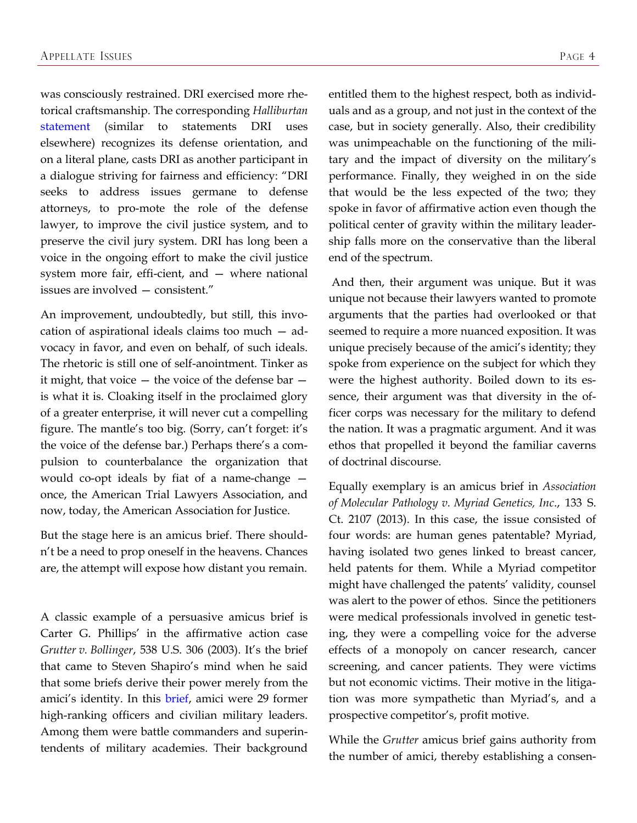was consciously restrained. DRI exercised more rhetorical craftsmanship. The corresponding *Halliburtan* [statement](http://www.americanbar.org/content/dam/aba/publications/supreme_court_preview/briefs-v3/13-317_pet_amcu_dri.authcheckdam.pdf) (similar to statements DRI uses elsewhere) recognizes its defense orientation, and on a literal plane, casts DRI as another participant in a dialogue striving for fairness and efficiency: "DRI seeks to address issues germane to defense attorneys, to pro-mote the role of the defense lawyer, to improve the civil justice system, and to preserve the civil jury system. DRI has long been a voice in the ongoing effort to make the civil justice system more fair, effi-cient, and — where national issues are involved — consistent."

An improvement, undoubtedly, but still, this invocation of aspirational ideals claims too much — advocacy in favor, and even on behalf, of such ideals. The rhetoric is still one of self-anointment. Tinker as it might, that voice — the voice of the defense bar is what it is. Cloaking itself in the proclaimed glory of a greater enterprise, it will never cut a compelling figure. The mantle's too big. (Sorry, can't forget: it's the voice of the defense bar.) Perhaps there's a compulsion to counterbalance the organization that would co-opt ideals by fiat of a name-change once, the American Trial Lawyers Association, and now, today, the American Association for Justice.

But the stage here is an amicus brief. There shouldn't be a need to prop oneself in the heavens. Chances are, the attempt will expose how distant you remain.

A classic example of a persuasive amicus brief is Carter G. Phillips' in the affirmative action case *Grutter v. Bollinger*, 538 U.S. 306 (2003). It's the brief that came to Steven Shapiro's mind when he said that some briefs derive their power merely from the amici's identity. In this [brief,](http://www.vpcomm.umich.edu/admissions/legal/gru_amicus-ussc/um/MilitaryL-both.pdf) amici were 29 former high-ranking officers and civilian military leaders. Among them were battle commanders and superintendents of military academies. Their background entitled them to the highest respect, both as individuals and as a group, and not just in the context of the case, but in society generally. Also, their credibility was unimpeachable on the functioning of the military and the impact of diversity on the military's performance. Finally, they weighed in on the side that would be the less expected of the two; they spoke in favor of affirmative action even though the political center of gravity within the military leadership falls more on the conservative than the liberal end of the spectrum.

And then, their argument was unique. But it was unique not because their lawyers wanted to promote arguments that the parties had overlooked or that seemed to require a more nuanced exposition. It was unique precisely because of the amici's identity; they spoke from experience on the subject for which they were the highest authority. Boiled down to its essence, their argument was that diversity in the officer corps was necessary for the military to defend the nation. It was a pragmatic argument. And it was ethos that propelled it beyond the familiar caverns of doctrinal discourse.

Equally exemplary is an amicus brief in *Association of Molecular Pathology v. Myriad Genetics, Inc*., 133 S. Ct. 2107 (2013). In this case, the issue consisted of four words: are human genes patentable? Myriad, having isolated two genes linked to breast cancer, held patents for them. While a Myriad competitor might have challenged the patents' validity, counsel was alert to the power of ethos. Since the petitioners were medical professionals involved in genetic testing, they were a compelling voice for the adverse effects of a monopoly on cancer research, cancer screening, and cancer patients. They were victims but not economic victims. Their motive in the litigation was more sympathetic than Myriad's, and a prospective competitor's, profit motive.

While the *Grutter* amicus brief gains authority from the number of amici, thereby establishing a consen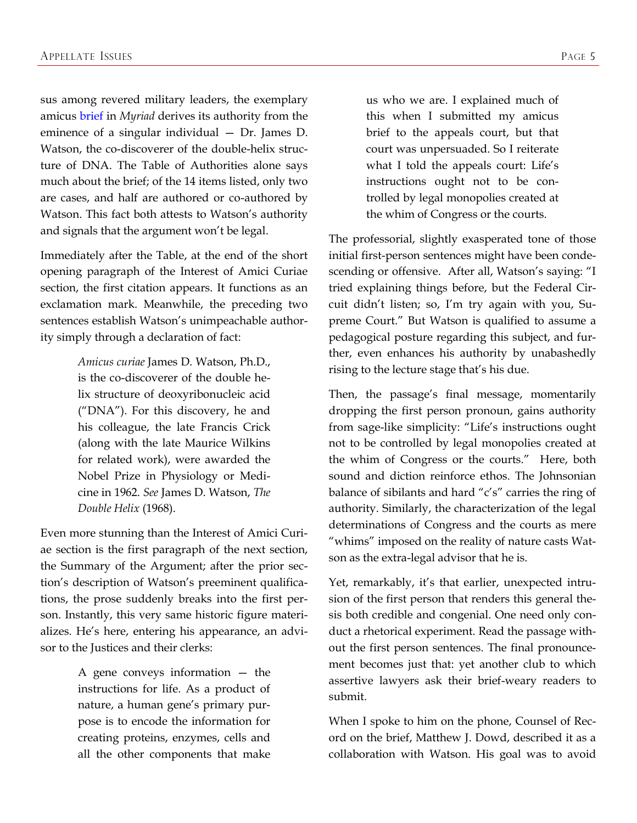sus among revered military leaders, the exemplary amicus [brief](http://www.americanbar.org/content/dam/aba/publications/supreme_court_preview/briefs-v2/12-398_neither_amcu_watson.authcheckdam.pdf) in *Myriad* derives its authority from the eminence of a singular individual — Dr. James D. Watson, the co-discoverer of the double-helix structure of DNA. The Table of Authorities alone says much about the brief; of the 14 items listed, only two are cases, and half are authored or co-authored by Watson. This fact both attests to Watson's authority and signals that the argument won't be legal.

Immediately after the Table, at the end of the short opening paragraph of the Interest of Amici Curiae section, the first citation appears. It functions as an exclamation mark. Meanwhile, the preceding two sentences establish Watson's unimpeachable authority simply through a declaration of fact:

> *Amicus curiae* James D. Watson, Ph.D., is the co-discoverer of the double helix structure of deoxyribonucleic acid ("DNA"). For this discovery, he and his colleague, the late Francis Crick (along with the late Maurice Wilkins for related work), were awarded the Nobel Prize in Physiology or Medicine in 1962. *See* James D. Watson, *The Double Helix* (1968).

Even more stunning than the Interest of Amici Curiae section is the first paragraph of the next section, the Summary of the Argument; after the prior section's description of Watson's preeminent qualifications, the prose suddenly breaks into the first person. Instantly, this very same historic figure materializes. He's here, entering his appearance, an advisor to the Justices and their clerks:

> A gene conveys information — the instructions for life. As a product of nature, a human gene's primary purpose is to encode the information for creating proteins, enzymes, cells and all the other components that make

us who we are. I explained much of this when I submitted my amicus brief to the appeals court, but that court was unpersuaded. So I reiterate what I told the appeals court: Life's instructions ought not to be controlled by legal monopolies created at the whim of Congress or the courts.

The professorial, slightly exasperated tone of those initial first-person sentences might have been condescending or offensive. After all, Watson's saying: "I tried explaining things before, but the Federal Circuit didn't listen; so, I'm try again with you, Supreme Court." But Watson is qualified to assume a pedagogical posture regarding this subject, and further, even enhances his authority by unabashedly rising to the lecture stage that's his due.

Then, the passage's final message, momentarily dropping the first person pronoun, gains authority from sage-like simplicity: "Life's instructions ought not to be controlled by legal monopolies created at the whim of Congress or the courts." Here, both sound and diction reinforce ethos. The Johnsonian balance of sibilants and hard "c's" carries the ring of authority. Similarly, the characterization of the legal determinations of Congress and the courts as mere "whims" imposed on the reality of nature casts Watson as the extra-legal advisor that he is.

Yet, remarkably, it's that earlier, unexpected intrusion of the first person that renders this general thesis both credible and congenial. One need only conduct a rhetorical experiment. Read the passage without the first person sentences. The final pronouncement becomes just that: yet another club to which assertive lawyers ask their brief-weary readers to submit.

When I spoke to him on the phone, Counsel of Record on the brief, Matthew J. Dowd, described it as a collaboration with Watson. His goal was to avoid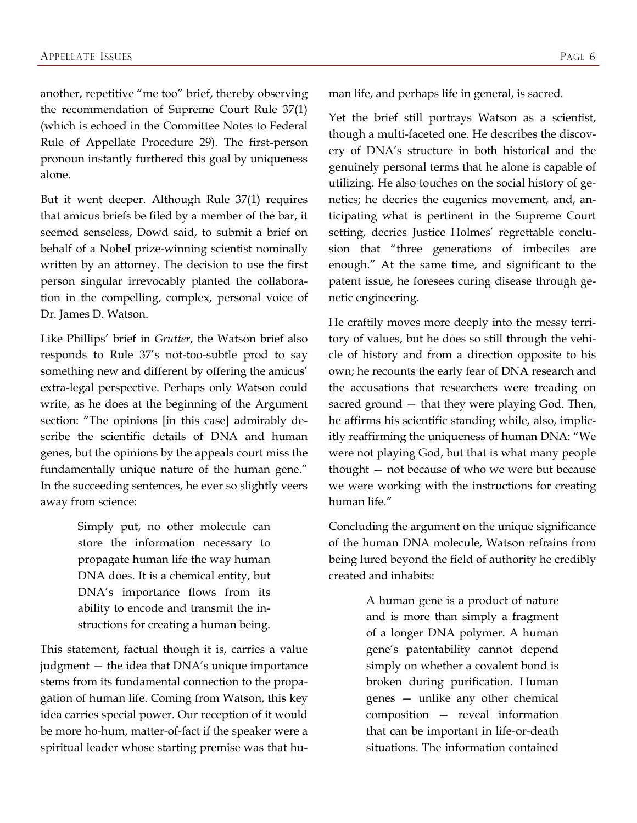another, repetitive "me too" brief, thereby observing the recommendation of Supreme Court Rule 37(1) (which is echoed in the Committee Notes to Federal Rule of Appellate Procedure 29). The first-person pronoun instantly furthered this goal by uniqueness alone.

But it went deeper. Although Rule 37(1) requires that amicus briefs be filed by a member of the bar, it seemed senseless, Dowd said, to submit a brief on behalf of a Nobel prize-winning scientist nominally written by an attorney. The decision to use the first person singular irrevocably planted the collaboration in the compelling, complex, personal voice of Dr. James D. Watson.

Like Phillips' brief in *Grutter*, the Watson brief also responds to Rule 37's not-too-subtle prod to say something new and different by offering the amicus' extra-legal perspective. Perhaps only Watson could write, as he does at the beginning of the Argument section: "The opinions [in this case] admirably describe the scientific details of DNA and human genes, but the opinions by the appeals court miss the fundamentally unique nature of the human gene." In the succeeding sentences, he ever so slightly veers away from science:

> Simply put, no other molecule can store the information necessary to propagate human life the way human DNA does. It is a chemical entity, but DNA's importance flows from its ability to encode and transmit the instructions for creating a human being.

This statement, factual though it is, carries a value judgment — the idea that DNA's unique importance stems from its fundamental connection to the propagation of human life. Coming from Watson, this key idea carries special power. Our reception of it would be more ho-hum, matter-of-fact if the speaker were a spiritual leader whose starting premise was that human life, and perhaps life in general, is sacred.

Yet the brief still portrays Watson as a scientist, though a multi-faceted one. He describes the discovery of DNA's structure in both historical and the genuinely personal terms that he alone is capable of utilizing. He also touches on the social history of genetics; he decries the eugenics movement, and, anticipating what is pertinent in the Supreme Court setting, decries Justice Holmes' regrettable conclusion that "three generations of imbeciles are enough." At the same time, and significant to the patent issue, he foresees curing disease through genetic engineering.

He craftily moves more deeply into the messy territory of values, but he does so still through the vehicle of history and from a direction opposite to his own; he recounts the early fear of DNA research and the accusations that researchers were treading on sacred ground - that they were playing God. Then, he affirms his scientific standing while, also, implicitly reaffirming the uniqueness of human DNA: "We were not playing God, but that is what many people thought — not because of who we were but because we were working with the instructions for creating human life."

Concluding the argument on the unique significance of the human DNA molecule, Watson refrains from being lured beyond the field of authority he credibly created and inhabits:

> A human gene is a product of nature and is more than simply a fragment of a longer DNA polymer. A human gene's patentability cannot depend simply on whether a covalent bond is broken during purification. Human genes — unlike any other chemical composition — reveal information that can be important in life-or-death situations. The information contained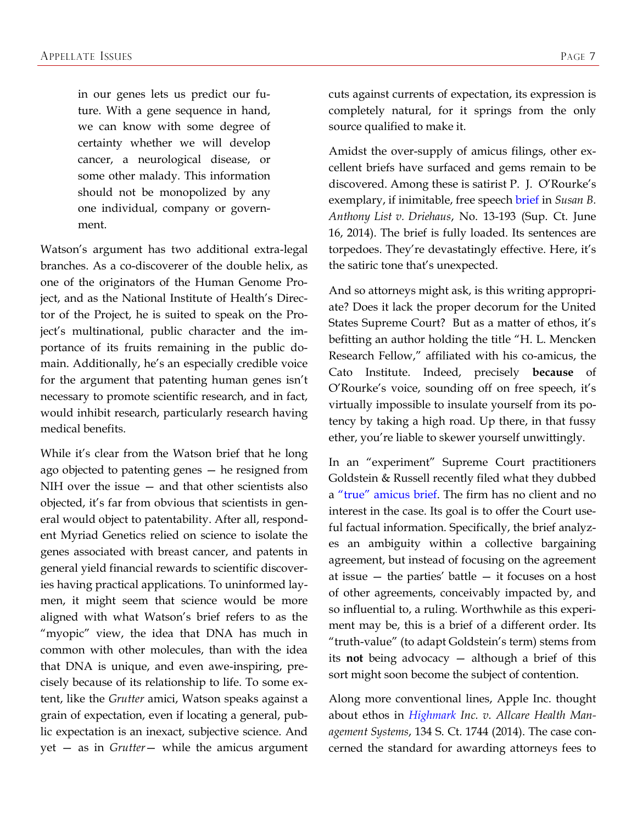in our genes lets us predict our future. With a gene sequence in hand, we can know with some degree of certainty whether we will develop cancer, a neurological disease, or some other malady. This information should not be monopolized by any one individual, company or government.

Watson's argument has two additional extra-legal branches. As a co-discoverer of the double helix, as one of the originators of the Human Genome Project, and as the National Institute of Health's Director of the Project, he is suited to speak on the Project's multinational, public character and the importance of its fruits remaining in the public domain. Additionally, he's an especially credible voice for the argument that patenting human genes isn't necessary to promote scientific research, and in fact, would inhibit research, particularly research having medical benefits.

While it's clear from the Watson brief that he long ago objected to patenting genes — he resigned from NIH over the issue — and that other scientists also objected, it's far from obvious that scientists in general would object to patentability. After all, respondent Myriad Genetics relied on science to isolate the genes associated with breast cancer, and patents in general yield financial rewards to scientific discoveries having practical applications. To uninformed laymen, it might seem that science would be more aligned with what Watson's brief refers to as the "myopic" view, the idea that DNA has much in common with other molecules, than with the idea that DNA is unique, and even awe-inspiring, precisely because of its relationship to life. To some extent, like the *Grutter* amici, Watson speaks against a grain of expectation, even if locating a general, public expectation is an inexact, subjective science. And yet — as in *Grutter*— while the amicus argument

cuts against currents of expectation, its expression is completely natural, for it springs from the only source qualified to make it.

Amidst the over-supply of amicus filings, other excellent briefs have surfaced and gems remain to be discovered. Among these is satirist P. J. O'Rourke's exemplary, if inimitable, free speech [brief i](http://www.americanbar.org/content/dam/aba/publications/supreme_court_preview/briefs-v3/13-193_pet_amcu_cato-pjo.authcheckdam.pdf)n *Susan B. Anthony List v. Driehaus*, No. 13-193 (Sup. Ct. June 16, 2014). The brief is fully loaded. Its sentences are torpedoes. They're devastatingly effective. Here, it's the satiric tone that's unexpected.

And so attorneys might ask, is this writing appropriate? Does it lack the proper decorum for the United States Supreme Court? But as a matter of ethos, it's befitting an author holding the title "H. L. Mencken Research Fellow," affiliated with his co-amicus, the Cato Institute. Indeed, precisely **because** of O'Rourke's voice, sounding off on free speech, it's virtually impossible to insulate yourself from its potency by taking a high road. Up there, in that fussy ether, you're liable to skewer yourself unwittingly.

In an "experiment" Supreme Court practitioners Goldstein & Russell recently filed what they dubbed a ["true" amicus brief](http://www.scotusblog.com/2014/07/new-amicus-brief-a-broader-view-of-retiree-health-care/). The firm has no client and no interest in the case. Its goal is to offer the Court useful factual information. Specifically, the brief analyzes an ambiguity within a collective bargaining agreement, but instead of focusing on the agreement at issue  $-$  the parties' battle  $-$  it focuses on a host of other agreements, conceivably impacted by, and so influential to, a ruling. Worthwhile as this experiment may be, this is a brief of a different order. Its "truth-value" (to adapt Goldstein's term) stems from its **not** being advocacy — although a brief of this sort might soon become the subject of contention.

Along more conventional lines, Apple Inc. thought about ethos in *[Highmark I](http://www.americanbar.org/content/dam/aba/publications/supreme_court_preview/briefs-v3/12-1163-12-1184_np_amcu_apple.authcheckdam.pdf)nc. v. Allcare Health Management Systems*, 134 S. Ct. 1744 (2014). The case concerned the standard for awarding attorneys fees to